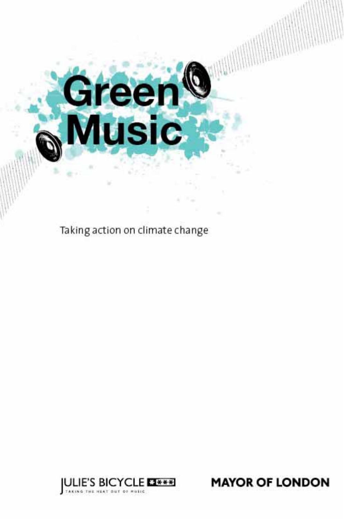# Green<br>Music

Taking action on climate change



**MAYOR OF LONDON**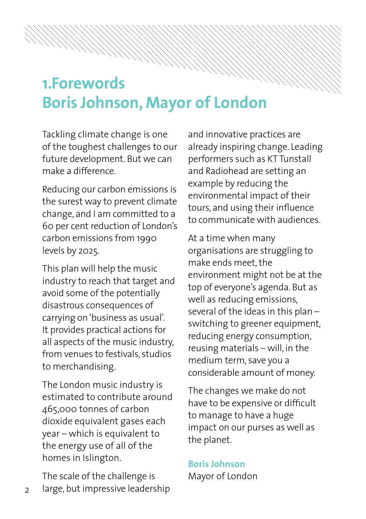# **1. Forewords Boris Johnson, Mayor of London**

Tackling climate change is one of the toughest challenges to our future development. But we can make a difference

Reducing our carbon emissions is the surest way to prevent climate change, and I am committed to a 60 per cent reduction of London's carbon emissions from 1990 levels by 2025.

This plan will help the music industry to reach that target and avoid some of the potentially disastrous consequences of carrying on 'business as usual'. It provides practical actions for all aspects of the music industry, from venues to festivals, studios to merchandising.

The London music industry is estimated to contribute around 465,000 tonnes of carbon dioxide equivalent gases each  $year - which is equivalent to$ the energy use of all of the homes in Islington.

The scale of the challenge is large, but impressive leadership

 $\mathcal{D}$ 

and innovative practices are already inspiring change. Leading performers such as KT Tunstall and Radiohead are setting an example by reducing the environmental impact of their tours, and using their influence to communicate with audiences

At a time when many organisations are struggling to make ends meet the environment might not be at the top of everyone's agenda. But as well as reducing emissions, several of the ideas in this plan  $$ switching to greener equipment, reducing energy consumption, reusing materials  $-$  will, in the medium term, save you a considerable amount of money.

The changes we make do not have to be expensive or difficult to manage to have a huge impact on our purses as well as the planet.

### **Boris lohnson**

Mayor of London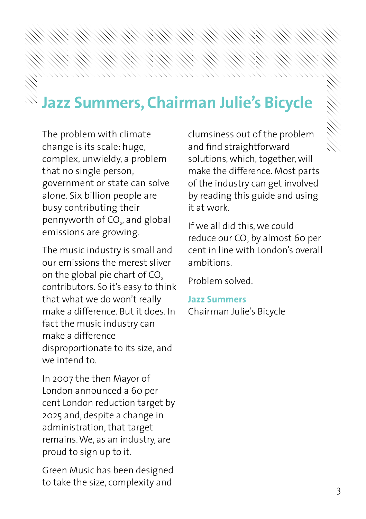# **Jazz Summers, Chairman Julie's Bicycle**

The problem with climate change is its scale: huge, complex, unwieldy, a problem that no single person, government or state can solve alone. Six billion people are busy contributing their pennyworth of CO $_{\textrm{\tiny{2}}}$ , and global emissions are growing.

The music industry is small and our emissions the merest sliver on the global pie chart of CO. contributors. So it's easy to think that what we do won't really make a difference. But it does. In fact the music industry can make a difference disproportionate to its size, and we intend to

In 2007 the then Mayor of London announced a 60 per cent London reduction target by 2025 and, despite a change in administration, that target remains. We, as an industry, are proud to sign up to it.

Green Music has been designed to take the size, complexity and

clumsiness out of the problem and find straightforward solutions, which, together, will make the difference. Most parts of the industry can get involved by reading this guide and using it at work.

If we all did this, we could reduce our CO, by almost 60 per cent in line with London's overall ambitions.

Problem solved.

**Jazz Summers** Chairman Julie's Bicycle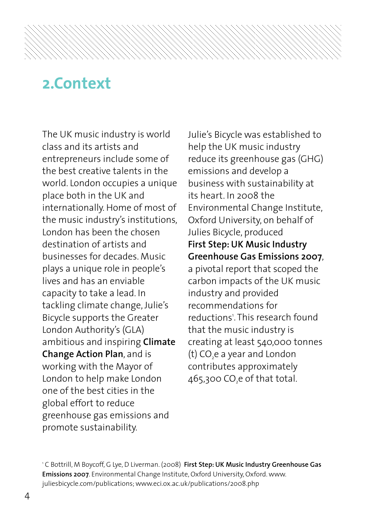## **#ONTEXT**

The UK music industry is world class and its artists and entrepreneurs include some of the best creative talents in the world. London occupies a unique place both in the UK and internationally. Home of most of the music industry's institutions, London has been the chosen destination of artists and businesses for decades. Music plays a unique role in people's lives and has an enviable capacity to take a lead. In tackling climate change, Julie's Bicycle supports the Greater London Authority's (GLA) ambitious and inspiring **Climate Change Action Plan, and is** working with the Mayor of London to help make London one of the best cities in the global effort to reduce greenhouse gas emissions and promote sustainability.

Julie's Bicycle was established to help the UK music industry reduce its greenhouse gas (GHG) emissions and develop a business with sustainability at  $its$  heart  $In$   $2008$  the Environmental Change Institute. Oxford University, on behalf of Julies Bicycle, produced **First Step: UK Music Industry Greenhouse Gas Emissions 2007.** a pivotal report that scoped the carbon impacts of the UK music industry and provided recommendations for reductions'. This research found that the music industry is creating at least 540,000 tonnes (t)  $CO<sub>2</sub>e$  a year and London contributes approximately 465,300 CO,e of that total.

<sup>1</sup> C Bottrill, M Bovcoff, G Lve, D Liverman, (2008) **First Step: UK Music Industry Greenhouse Gas Emissions 2007**. Environmental Change Institute, Oxford University, Oxford. www. juliesbicycle.com/publications; www.eci.ox.ac.uk/publications/2008.php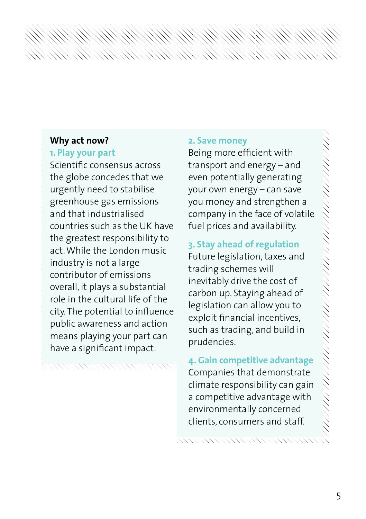### **Why act now?**

### **1. Play your part**

Scientific consensus across the globe concedes that we urgently need to stabilise greenhouse gas emissions and that industrialised countries such as the UK have the greatest responsibility to act While the London music industry is not a large contributor of emissions overall, it plays a substantial role in the cultural life of the city. The potential to influence public awareness and action means playing your part can have a significant impact.

### a a composta de compostera de composter

### **2. Save money**

Being more efficient with transport and energy  $-$  and even potentially generating your own energy - can save you money and strengthen a company in the face of volatile fuel prices and availability.

### **3. Stay ahead of regulation**

Future legislation, taxes and trading schemes will inevitably drive the cost of carbon up. Staying ahead of legislation can allow you to exploit financial incentives. such as trading, and build in prudencies.

**4. Gain competitive advantage** Companies that demonstrate climate responsibility can gain a competitive advantage with environmentally concerned clients, consumers and staff.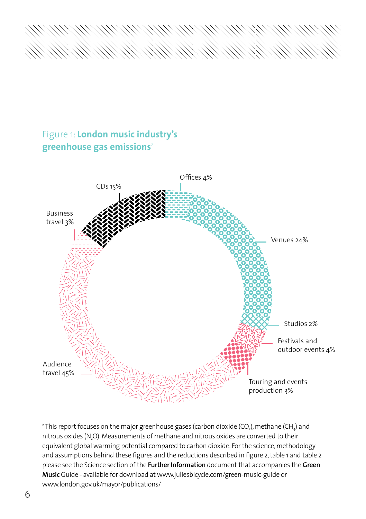

### **Figure 1: London music industry's greenhouse gas emissions**<sup>2</sup>



 $^{\rm{2}}$ This report focuses on the major greenhouse gases (carbon dioxide (CO $_{\rm{2}}$ ), methane (CH $_{\rm{4}}$ ) and nitrous oxides (N.O). Measurements of methane and nitrous oxides are converted to their equivalent global warming potential compared to carbon dioxide. For the science, methodology and assumptions behind these figures and the reductions described in figure 2, table 1 and table 2 PLEASE SEE THE 3CIENCE SECTION OF THE **&URTHER )NFORMATION** DOCUMENT THAT ACCOMPANIES THE **'REEN** Music Guide - available for download at www.juliesbicycle.com/green-music-guide or www.london.gov.uk/mayor/publications/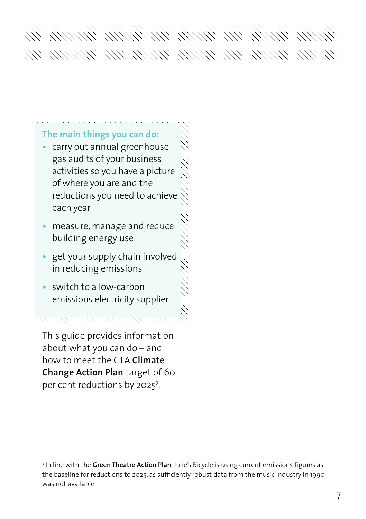### **The main things you can do:**

- carry out annual greenhouse gas audits of your business activities so you have a picture of where you are and the reductions you need to achieve each year
- measure, manage and reduce building energy use
- get your supply chain involved in reducing emissions
- switch to a low-carbon emissions electricity supplier.

This guide provides information about what you can do  $-$  and how to meet the GLA **Climate Change Action Plan** target of 60 per cent reductions by 2025<sup>3</sup>.

 $^{\text{3}}$  In line with the **Green Theatre Action Plan**, Julie's Bicycle is using current emissions figures as the baseline for reductions to 2025, as sufficiently robust data from the music industry in 1990 was not available.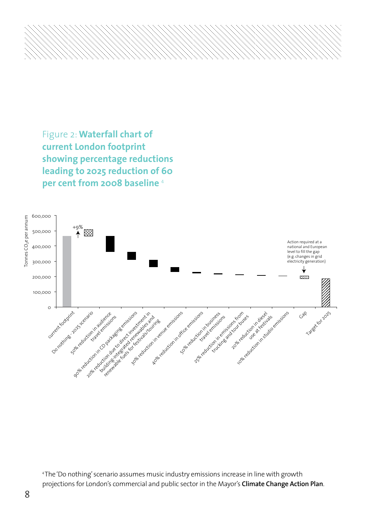Figure 2: Waterfall chart of **current London footprint Showing percentage reductions** leading to 2025 reduction of 60 **per cent from 2008 baseline**<sup>4</sup>



 $^4$ The 'Do nothing' scenario assumes music industry emissions increase in line with growth projections for London's commercial and public sector in the Mayor's Climate Change Action Plan.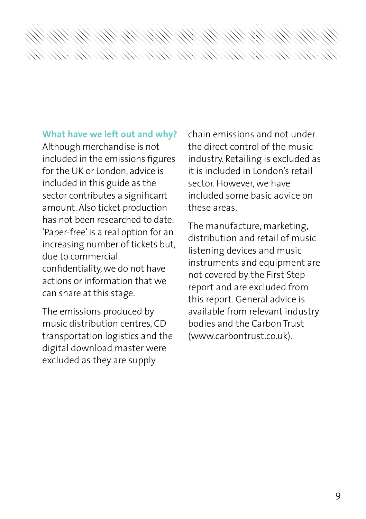### **What have we left out and why?**

Although merchandise is not included in the emissions figures for the UK or London, advice is included in this guide as the sector contributes a significant amount. Also ticket production has not been researched to date 'Paper-free' is a real option for an increasing number of tickets but, due to commercial confidentiality, we do not have actions or information that we can share at this stage.

The emissions produced by music distribution centres. CD transportation logistics and the digital download master were excluded as they are supply

chain emissions and not under the direct control of the music industry. Retailing is excluded as it is included in London's retail sector. However, we have included some basic advice on these areas.

The manufacture, marketing, distribution and retail of music listening devices and music instruments and equipment are not covered by the First Step report and are excluded from this report. General advice is available from relevant industry bodies and the Carbon Trust (www.carbontrust.co.uk).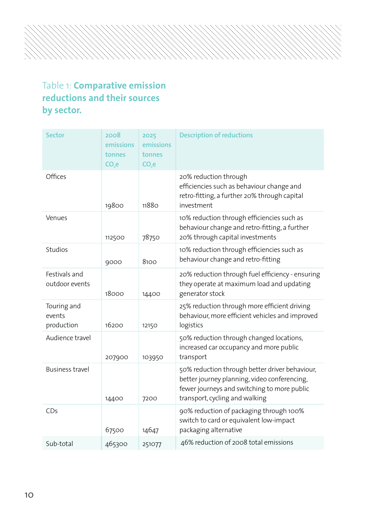### Table 1: **Comparative emission REDUCTIONS AND THEIR SOURCES** by sector.

| Sector                              | 2008<br>emissions<br>tonnes<br>$CO3$ e | 2025<br>emissions<br>tonnes<br>CO <sub>s</sub> e | <b>Description of reductions</b>                                                                                                                                                |
|-------------------------------------|----------------------------------------|--------------------------------------------------|---------------------------------------------------------------------------------------------------------------------------------------------------------------------------------|
| Offices                             | 19800                                  | 11880                                            | 20% reduction through<br>efficiencies such as behaviour change and<br>retro-fitting, a further 20% through capital<br>investment                                                |
| Venues                              | 112500                                 | 78750                                            | 10% reduction through efficiencies such as<br>behaviour change and retro-fitting, a further<br>20% through capital investments                                                  |
| Studios                             | 9000                                   | 8100                                             | 10% reduction through efficiencies such as<br>behaviour change and retro-fitting                                                                                                |
| Festivals and<br>outdoor events     | 18000                                  | 14400                                            | 20% reduction through fuel efficiency - ensuring<br>they operate at maximum load and updating<br>generator stock                                                                |
| Touring and<br>events<br>production | 16200                                  | 12150                                            | 25% reduction through more efficient driving<br>behaviour, more efficient vehicles and improved<br>logistics                                                                    |
| Audience travel                     | 207900                                 | 103950                                           | 50% reduction through changed locations,<br>increased car occupancy and more public<br>transport                                                                                |
| <b>Business travel</b>              | 14400                                  | 7200                                             | 50% reduction through better driver behaviour,<br>better journey planning, video conferencing,<br>fewer journeys and switching to more public<br>transport, cycling and walking |
| CDs                                 | 67500                                  | 14647                                            | 90% reduction of packaging through 100%<br>switch to card or equivalent low-impact<br>packaging alternative                                                                     |
| Sub-total                           | 465300                                 | 251077                                           | 46% reduction of 2008 total emissions                                                                                                                                           |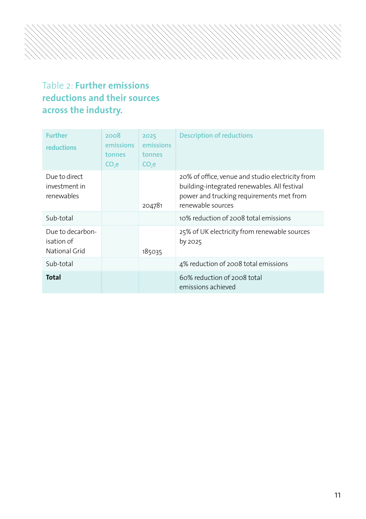### Table 2: **Further emissions REDUCTIONS AND THEIR SOURCES** across the industry.

| <b>Further</b><br>reductions                    | 2008<br>emissions<br>tonnes<br>CO <sub>3</sub> e | 2025<br>emissions<br>tonnes<br>CO <sub>3</sub> e | <b>Description of reductions</b>                                                                                                                                  |
|-------------------------------------------------|--------------------------------------------------|--------------------------------------------------|-------------------------------------------------------------------------------------------------------------------------------------------------------------------|
| Due to direct<br>investment in<br>renewables    |                                                  | 204781                                           | 20% of office, venue and studio electricity from<br>building-integrated renewables. All festival<br>power and trucking requirements met from<br>renewable sources |
| Sub-total                                       |                                                  |                                                  | 10% reduction of 2008 total emissions                                                                                                                             |
| Due to decarbon-<br>isation of<br>National Grid |                                                  | 185035                                           | 25% of UK electricity from renewable sources<br>by 2025                                                                                                           |
| Sub-total                                       |                                                  |                                                  | 4% reduction of 2008 total emissions                                                                                                                              |
| Total                                           |                                                  |                                                  | 60% reduction of 2008 total<br>emissions achieved                                                                                                                 |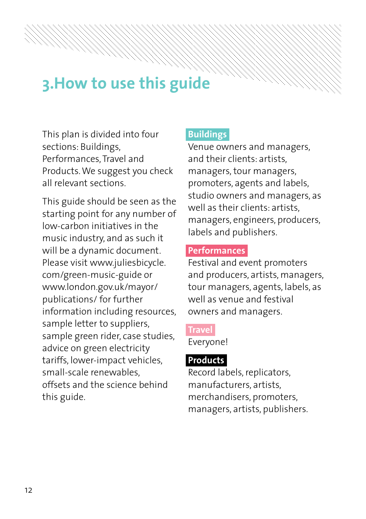# **3. How to use this guide**

This plan is divided into four sections: Buildings. Performances, Travel and Products. We suggest you check all relevant sections

This guide should be seen as the starting point for any number of low-carbon initiatives in the music industry, and as such it will be a dynamic document. Please visit www.juliesbicycle. com/green-music-guide or www.london.gov.uk/mayor/ publications/ for further information including resources, sample letter to suppliers, sample green rider, case studies, advice on green electricity tariffs, lower-impact vehicles, small-scale renewables offsets and the science behind this guide.

### **Buildings**

Venue owners and managers. and their clients: artists, managers, tour managers, promoters, agents and labels, studio owners and managers, as well as their clients: artists. managers, engineers, producers, labels and publishers.

### **Performances**

Festival and event promoters and producers, artists, managers, tour managers, agents, labels, as well as venue and festival owners and managers.

### **Travel**

Everyone!

### **Products**

Record labels, replicators, manufacturers, artists, merchandisers, promoters, managers, artists, publishers.